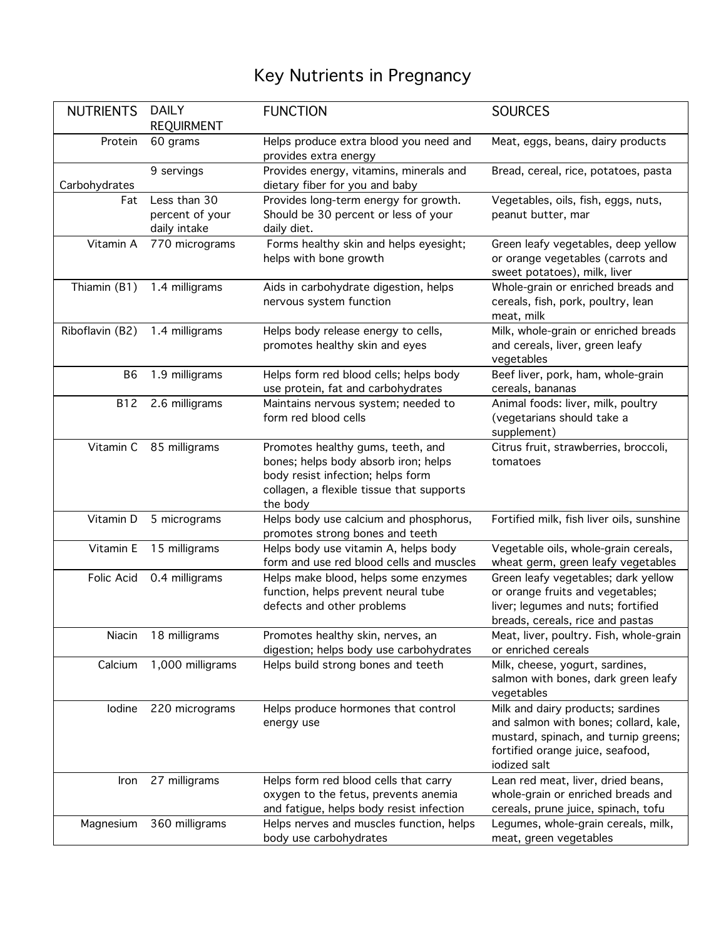## Key Nutrients in Pregnancy

| <b>NUTRIENTS</b> | <b>DAILY</b>                                    | <b>FUNCTION</b>                                                                                                                                                         | <b>SOURCES</b>                                                                                                                                                         |
|------------------|-------------------------------------------------|-------------------------------------------------------------------------------------------------------------------------------------------------------------------------|------------------------------------------------------------------------------------------------------------------------------------------------------------------------|
|                  | <b>REQUIRMENT</b>                               |                                                                                                                                                                         |                                                                                                                                                                        |
| Protein          | 60 grams                                        | Helps produce extra blood you need and<br>provides extra energy                                                                                                         | Meat, eggs, beans, dairy products                                                                                                                                      |
| Carbohydrates    | 9 servings                                      | Provides energy, vitamins, minerals and<br>dietary fiber for you and baby                                                                                               | Bread, cereal, rice, potatoes, pasta                                                                                                                                   |
| Fat              | Less than 30<br>percent of your<br>daily intake | Provides long-term energy for growth.<br>Should be 30 percent or less of your<br>daily diet.                                                                            | Vegetables, oils, fish, eggs, nuts,<br>peanut butter, mar                                                                                                              |
| Vitamin A        | 770 micrograms                                  | Forms healthy skin and helps eyesight;<br>helps with bone growth                                                                                                        | Green leafy vegetables, deep yellow<br>or orange vegetables (carrots and<br>sweet potatoes), milk, liver                                                               |
| Thiamin (B1)     | 1.4 milligrams                                  | Aids in carbohydrate digestion, helps<br>nervous system function                                                                                                        | Whole-grain or enriched breads and<br>cereals, fish, pork, poultry, lean<br>meat, milk                                                                                 |
| Riboflavin (B2)  | 1.4 milligrams                                  | Helps body release energy to cells,<br>promotes healthy skin and eyes                                                                                                   | Milk, whole-grain or enriched breads<br>and cereals, liver, green leafy<br>vegetables                                                                                  |
| B <sub>6</sub>   | 1.9 milligrams                                  | Helps form red blood cells; helps body<br>use protein, fat and carbohydrates                                                                                            | Beef liver, pork, ham, whole-grain<br>cereals, bananas                                                                                                                 |
| <b>B12</b>       | 2.6 milligrams                                  | Maintains nervous system; needed to<br>form red blood cells                                                                                                             | Animal foods: liver, milk, poultry<br>(vegetarians should take a<br>supplement)                                                                                        |
| Vitamin C        | 85 milligrams                                   | Promotes healthy gums, teeth, and<br>bones; helps body absorb iron; helps<br>body resist infection; helps form<br>collagen, a flexible tissue that supports<br>the body | Citrus fruit, strawberries, broccoli,<br>tomatoes                                                                                                                      |
| Vitamin D        | 5 micrograms                                    | Helps body use calcium and phosphorus,<br>promotes strong bones and teeth                                                                                               | Fortified milk, fish liver oils, sunshine                                                                                                                              |
| Vitamin E        | 15 milligrams                                   | Helps body use vitamin A, helps body<br>form and use red blood cells and muscles                                                                                        | Vegetable oils, whole-grain cereals,<br>wheat germ, green leafy vegetables                                                                                             |
| Folic Acid       | 0.4 milligrams                                  | Helps make blood, helps some enzymes<br>function, helps prevent neural tube<br>defects and other problems                                                               | Green leafy vegetables; dark yellow<br>or orange fruits and vegetables;<br>liver; legumes and nuts; fortified<br>breads, cereals, rice and pastas                      |
| Niacin           | 18 milligrams                                   | Promotes healthy skin, nerves, an<br>digestion; helps body use carbohydrates                                                                                            | Meat, liver, poultry. Fish, whole-grain<br>or enriched cereals                                                                                                         |
| Calcium          | 1,000 milligrams                                | Helps build strong bones and teeth                                                                                                                                      | Milk, cheese, yogurt, sardines,<br>salmon with bones, dark green leafy<br>vegetables                                                                                   |
| Iodine           | 220 micrograms                                  | Helps produce hormones that control<br>energy use                                                                                                                       | Milk and dairy products; sardines<br>and salmon with bones; collard, kale,<br>mustard, spinach, and turnip greens;<br>fortified orange juice, seafood,<br>iodized salt |
| Iron             | 27 milligrams                                   | Helps form red blood cells that carry<br>oxygen to the fetus, prevents anemia<br>and fatigue, helps body resist infection                                               | Lean red meat, liver, dried beans,<br>whole-grain or enriched breads and<br>cereals, prune juice, spinach, tofu                                                        |
| Magnesium        | 360 milligrams                                  | Helps nerves and muscles function, helps<br>body use carbohydrates                                                                                                      | Legumes, whole-grain cereals, milk,<br>meat, green vegetables                                                                                                          |